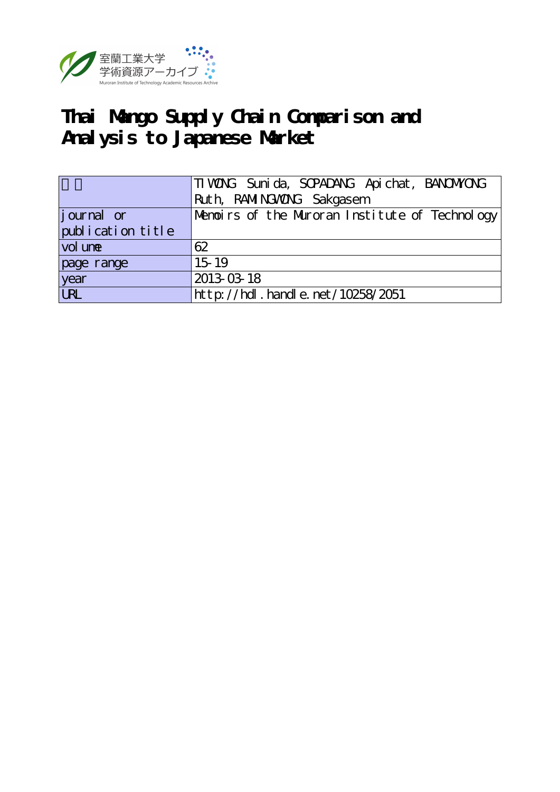

# **Thai Mango Supply Chain Comparison and Analysis to Japanese Market**

|                   | TI WONG Sunida, SCPADANG Apichat, BANOWONG     |  |  |  |  |  |
|-------------------|------------------------------------------------|--|--|--|--|--|
|                   | Ruth, RAMINGWONG Sakgasem                      |  |  |  |  |  |
| journal or        | Menoirs of the Muroran Institute of Technology |  |  |  |  |  |
| publication title |                                                |  |  |  |  |  |
| vol une           | 62                                             |  |  |  |  |  |
| page range        | 15 19                                          |  |  |  |  |  |
| year<br>URL       | 2013-03-18                                     |  |  |  |  |  |
|                   | $http$ : //hdl. handle. net / 10258/2051       |  |  |  |  |  |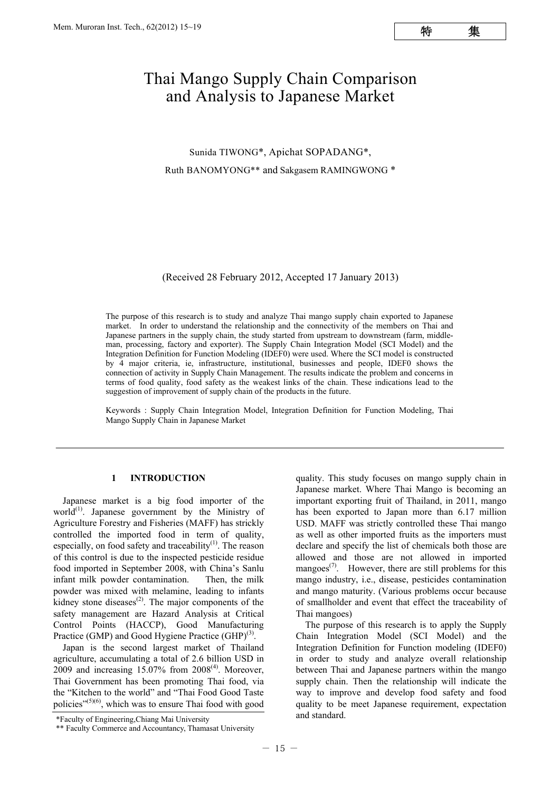# Thai Mango Supply Chain Comparison and Analysis to Japanese Market

# Sunida TIWONG\*, Apichat SOPADANG\*,

Ruth BANOMYONG\*\* and Sakgasem RAMINGWONG \*

#### (Received 28 February 2012, Accepted 17 January 2013)

The purpose of this research is to study and analyze Thai mango supply chain exported to Japanese market. In order to understand the relationship and the connectivity of the members on Thai and Japanese partners in the supply chain, the study started from upstream to downstream (farm, middleman, processing, factory and exporter). The Supply Chain Integration Model (SCI Model) and the Integration Definition for Function Modeling (IDEF0) were used. Where the SCI model is constructed by 4 major criteria, ie, infrastructure, institutional, businesses and people, IDEF0 shows the connection of activity in Supply Chain Management. The results indicate the problem and concerns in terms of food quality, food safety as the weakest links of the chain. These indications lead to the suggestion of improvement of supply chain of the products in the future.

Keywords : Supply Chain Integration Model, Integration Definition for Function Modeling, Thai Mango Supply Chain in Japanese Market

## **1 INTRODUCTION**

Japanese market is a big food importer of the world $^{(1)}$ . Japanese government by the Ministry of Agriculture Forestry and Fisheries (MAFF) has strickly controlled the imported food in term of quality, especially, on food safety and traceability $(1)$ . The reason of this control is due to the inspected pesticide residue food imported in September 2008, with China's Sanlu infant milk powder contamination. Then, the milk powder was mixed with melamine, leading to infants kidney stone diseases<sup>(2)</sup>. The major components of the safety management are Hazard Analysis at Critical Control Points (HACCP), Good Manufacturing Practice (GMP) and Good Hygiene Practice (GHP)<sup>(3)</sup>.

Japan is the second largest market of Thailand agriculture, accumulating a total of 2.6 billion USD in 2009 and increasing  $15.07\%$  from  $2008^{(4)}$ . Moreover, Thai Government has been promoting Thai food, via the "Kitchen to the world" and "Thai Food Good Taste policies" $(5)(6)$ , which was to ensure Thai food with good

quality. This study focuses on mango supply chain in Japanese market. Where Thai Mango is becoming an important exporting fruit of Thailand, in 2011, mango has been exported to Japan more than 6.17 million USD. MAFF was strictly controlled these Thai mango as well as other imported fruits as the importers must declare and specify the list of chemicals both those are allowed and those are not allowed in imported mangoes<sup> $(7)$ </sup>. However, there are still problems for this mango industry, i.e., disease, pesticides contamination and mango maturity. (Various problems occur because of smallholder and event that effect the traceability of Thai mangoes)

The purpose of this research is to apply the Supply Chain Integration Model (SCI Model) and the Integration Definition for Function modeling (IDEF0) in order to study and analyze overall relationship between Thai and Japanese partners within the mango supply chain. Then the relationship will indicate the way to improve and develop food safety and food quality to be meet Japanese requirement, expectation and standard.

<sup>\*</sup>Faculty of Engineering,Chiang Mai University

<sup>\*\*</sup> Faculty Commerce and Accountancy, Thamasat University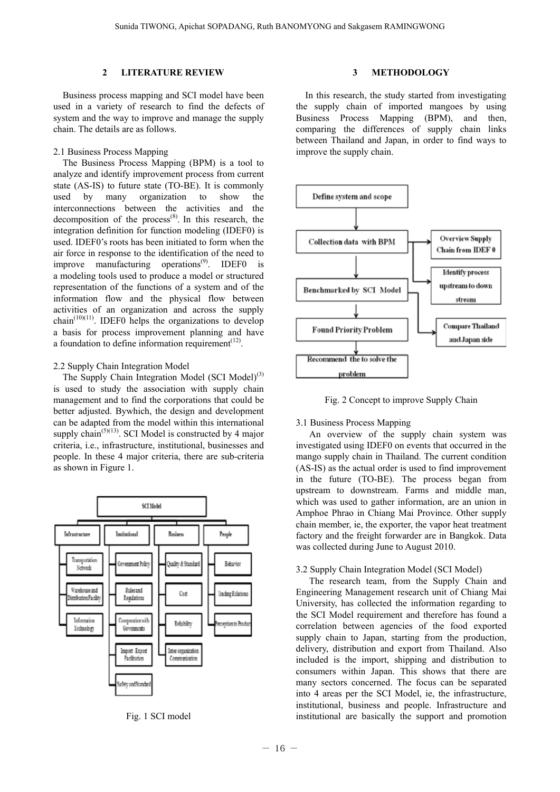# **2 LITERATURE REVIEW**

Business process mapping and SCI model have been used in a variety of research to find the defects of system and the way to improve and manage the supply chain. The details are as follows.

#### 2.1 Business Process Mapping

The Business Process Mapping (BPM) is a tool to analyze and identify improvement process from current state (AS-IS) to future state (TO-BE). It is commonly used by many organization to show the interconnections between the activities and the decomposition of the process $(8)$ . In this research, the integration definition for function modeling (IDEF0) is used. IDEF0's roots has been initiated to form when the air force in response to the identification of the need to improve manufacturing operations<sup>(9)</sup>. IDEF0 is a modeling tools used to produce a model or structured representation of the functions of a system and of the information flow and the physical flow between activities of an organization and across the supply chain<sup> $(10)(11)$ </sup>. IDEF0 helps the organizations to develop a basis for process improvement planning and have a foundation to define information requirement $(12)$ .

#### 2.2 Supply Chain Integration Model

The Supply Chain Integration Model (SCI Model)<sup>(3)</sup> is used to study the association with supply chain management and to find the corporations that could be better adjusted. Bywhich, the design and development can be adapted from the model within this international supply chain<sup> $(5)(13)$ </sup>. SCI Model is constructed by 4 major criteria, i.e., infrastructure, institutional, businesses and people. In these 4 major criteria, there are sub-criteria as shown in Figure 1.



Fig. 1 SCI model

#### **3 METHODOLOGY**

In this research, the study started from investigating the supply chain of imported mangoes by using Business Process Mapping (BPM), and then, comparing the differences of supply chain links between Thailand and Japan, in order to find ways to improve the supply chain.



Fig. 2 Concept to improve Supply Chain

#### 3.1 Business Process Mapping

An overview of the supply chain system was investigated using IDEF0 on events that occurred in the mango supply chain in Thailand. The current condition (AS-IS) as the actual order is used to find improvement in the future (TO-BE). The process began from upstream to downstream. Farms and middle man, which was used to gather information, are an union in Amphoe Phrao in Chiang Mai Province. Other supply chain member, ie, the exporter, the vapor heat treatment factory and the freight forwarder are in Bangkok. Data was collected during June to August 2010.

#### 3.2 Supply Chain Integration Model (SCI Model)

The research team, from the Supply Chain and Engineering Management research unit of Chiang Mai University, has collected the information regarding to the SCI Model requirement and therefore has found a correlation between agencies of the food exported supply chain to Japan, starting from the production, delivery, distribution and export from Thailand. Also included is the import, shipping and distribution to consumers within Japan. This shows that there are many sectors concerned. The focus can be separated into 4 areas per the SCI Model, ie, the infrastructure, institutional, business and people. Infrastructure and institutional are basically the support and promotion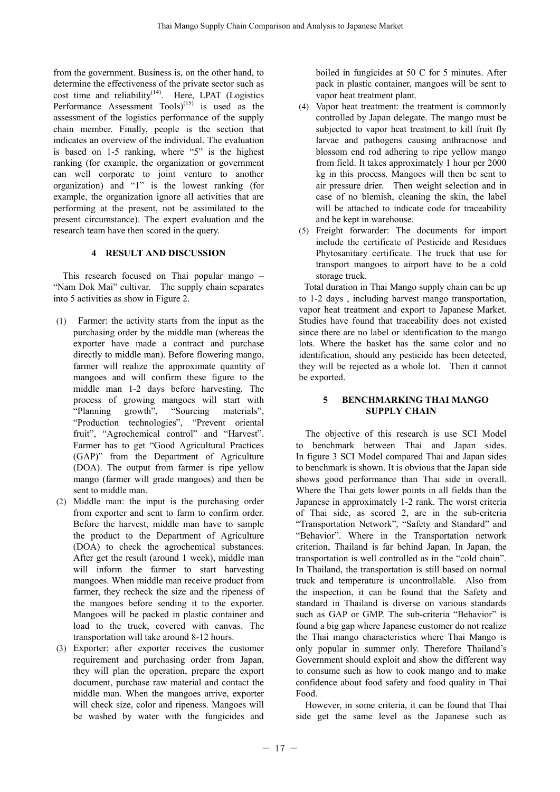from the government. Business is, on the other hand, to determine the effectiveness of the private sector such as cost time and reliability $(14)$ . Here, LPAT (Logistics Performance Assessment Tools)<sup>(15)</sup> is used as the assessment of the logistics performance of the supply chain member. Finally, people is the section that indicates an overview of the individual. The evaluation is based on 1-5 ranking, where "5" is the highest ranking (for example, the organization or government can well corporate to joint venture to another organization) and "1" is the lowest ranking (for example, the organization ignore all activities that are performing at the present, not be assimilated to the present circumstance). The expert evaluation and the research team have then scored in the query.

# **4 RESULT AND DISCUSSION**

This research focused on Thai popular mango – "Nam Dok Mai" cultivar. The supply chain separates into 5 activities as show in Figure 2.

- (1) Farmer: the activity starts from the input as the purchasing order by the middle man (whereas the exporter have made a contract and purchase directly to middle man). Before flowering mango, farmer will realize the approximate quantity of mangoes and will confirm these figure to the middle man 1-2 days before harvesting. The process of growing mangoes will start with "Planning growth", "Sourcing materials", "Production technologies", "Prevent oriental fruit", "Agrochemical control" and "Harvest". Farmer has to get "Good Agricultural Practices (GAP)" from the Department of Agriculture (DOA). The output from farmer is ripe yellow mango (farmer will grade mangoes) and then be sent to middle man.
- (2) Middle man: the input is the purchasing order from exporter and sent to farm to confirm order. Before the harvest, middle man have to sample the product to the Department of Agriculture (DOA) to check the agrochemical substances. After get the result (around 1 week), middle man will inform the farmer to start harvesting mangoes. When middle man receive product from farmer, they recheck the size and the ripeness of the mangoes before sending it to the exporter. Mangoes will be packed in plastic container and load to the truck, covered with canvas. The transportation will take around 8-12 hours.
- (3) Exporter: after exporter receives the customer requirement and purchasing order from Japan, they will plan the operation, prepare the export document, purchase raw material and contact the middle man. When the mangoes arrive, exporter will check size, color and ripeness. Mangoes will be washed by water with the fungicides and

boiled in fungicides at 50 C for 5 minutes. After pack in plastic container, mangoes will be sent to vapor heat treatment plant.

- (4) Vapor heat treatment: the treatment is commonly controlled by Japan delegate. The mango must be subjected to vapor heat treatment to kill fruit fly larvae and pathogens causing anthracnose and blossom end rod adhering to ripe yellow mango from field. It takes approximately 1 hour per 2000 kg in this process. Mangoes will then be sent to air pressure drier. Then weight selection and in case of no blemish, cleaning the skin, the label will be attached to indicate code for traceability and be kept in warehouse.
- (5) Freight forwarder: The documents for import include the certificate of Pesticide and Residues Phytosanitary certificate. The truck that use for transport mangoes to airport have to be a cold storage truck.

Total duration in Thai Mango supply chain can be up to 1-2 days , including harvest mango transportation, vapor heat treatment and export to Japanese Market. Studies have found that traceability does not existed since there are no label or identification to the mango lots. Where the basket has the same color and no identification, should any pesticide has been detected, they will be rejected as a whole lot. Then it cannot be exported.

# **5 BENCHMARKING THAI MANGO SUPPLY CHAIN**

The objective of this research is use SCI Model to benchmark between Thai and Japan sides. In figure 3 SCI Model compared Thai and Japan sides to benchmark is shown. It is obvious that the Japan side shows good performance than Thai side in overall. Where the Thai gets lower points in all fields than the Japanese in approximately 1-2 rank. The worst criteria of Thai side, as scored 2, are in the sub-criteria "Transportation Network", "Safety and Standard" and "Behavior". Where in the Transportation network criterion, Thailand is far behind Japan. In Japan, the transportation is well controlled as in the "cold chain". In Thailand, the transportation is still based on normal truck and temperature is uncontrollable. Also from the inspection, it can be found that the Safety and standard in Thailand is diverse on various standards such as GAP or GMP. The sub-criteria "Behavior" is found a big gap where Japanese customer do not realize the Thai mango characteristics where Thai Mango is only popular in summer only. Therefore Thailand's Government should exploit and show the different way to consume such as how to cook mango and to make confidence about food safety and food quality in Thai Food.

However, in some criteria, it can be found that Thai side get the same level as the Japanese such as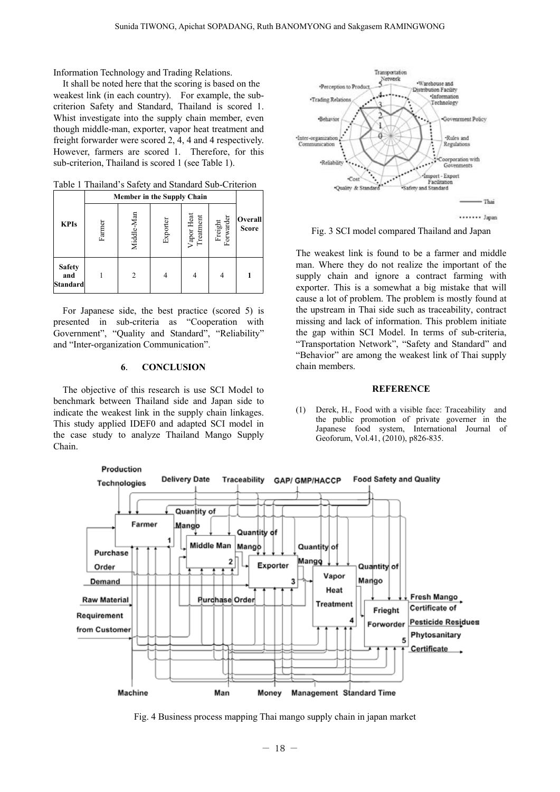Information Technology and Trading Relations.

It shall be noted here that the scoring is based on the weakest link (in each country). For example, the subcriterion Safety and Standard, Thailand is scored 1. Whist investigate into the supply chain member, even though middle-man, exporter, vapor heat treatment and freight forwarder were scored 2, 4, 4 and 4 respectively. However, farmers are scored 1. Therefore, for this sub-criterion, Thailand is scored 1 (see Table 1).

| Table 1 Thailand's Safety and Standard Sub-Criterion |  |
|------------------------------------------------------|--|
|------------------------------------------------------|--|

|                                         | Member in the Supply Chain |                |          |                                        |                      |                         |
|-----------------------------------------|----------------------------|----------------|----------|----------------------------------------|----------------------|-------------------------|
| <b>KPIs</b>                             | Farmer                     | Middle-Man     | Exporter | $_{\rm Vapor}$ Heat $_{\rm Treatment}$ | Freight<br>Forwarder | Overall<br><b>Score</b> |
| <b>Safety</b><br>and<br><b>Standard</b> |                            | $\overline{c}$ |          |                                        |                      |                         |

For Japanese side, the best practice (scored 5) is presented in sub-criteria as "Cooperation with Government", "Quality and Standard", "Reliability" and "Inter-organization Communication".

## **6**. **CONCLUSION**

The objective of this research is use SCI Model to benchmark between Thailand side and Japan side to indicate the weakest link in the supply chain linkages. This study applied IDEF0 and adapted SCI model in the case study to analyze Thailand Mango Supply Chain.



Fig. 3 SCI model compared Thailand and Japan

The weakest link is found to be a farmer and middle man. Where they do not realize the important of the supply chain and ignore a contract farming with exporter. This is a somewhat a big mistake that will cause a lot of problem. The problem is mostly found at the upstream in Thai side such as traceability, contract missing and lack of information. This problem initiate the gap within SCI Model. In terms of sub-criteria, "Transportation Network", "Safety and Standard" and "Behavior" are among the weakest link of Thai supply chain members.

#### **REFERENCE**

(1) Derek, H., Food with a visible face: Traceability and the public promotion of private governer in the Japanese food system, International Journal of Geoforum, Vol.41, (2010), p826-835.



Fig. 4 Business process mapping Thai mango supply chain in japan market